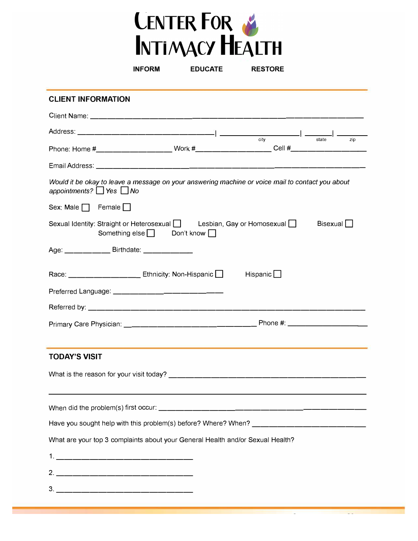

| <b>EDUCATE</b><br><b>INFORM</b><br><b>RESTORE</b>                                                                                                                                                                                                                                                                                                                                                                                                                       |
|-------------------------------------------------------------------------------------------------------------------------------------------------------------------------------------------------------------------------------------------------------------------------------------------------------------------------------------------------------------------------------------------------------------------------------------------------------------------------|
| <b>CLIENT INFORMATION</b>                                                                                                                                                                                                                                                                                                                                                                                                                                               |
|                                                                                                                                                                                                                                                                                                                                                                                                                                                                         |
| $Address: \begin{tabular}{c c c c} \hline \multicolumn{3}{c c }{\textbf{Address:}} & \multicolumn{3}{c }{\textbf{Sate}} & \multicolumn{3}{c }{\textbf{Sate}} & \multicolumn{3}{c }{\textbf{Sate}} & \multicolumn{3}{c }{\textbf{Sate}} & \multicolumn{3}{c }{\textbf{Sate}} & \multicolumn{3}{c }{\textbf{Sate}} & \multicolumn{3}{c }{\textbf{Sate}} & \multicolumn{3}{c }{\textbf{Sate}} & \multicolumn{3}{c }{\textbf{Sate}} & \multicolumn{3}{c }{\textbf{Sate}} &$ |
| Phone: Home #_______________________Work #_____________________Cell #_______________________________                                                                                                                                                                                                                                                                                                                                                                    |
|                                                                                                                                                                                                                                                                                                                                                                                                                                                                         |
| Would it be okay to leave a message on your answering machine or voice mail to contact you about<br>appointments? $\Box$ Yes $\Box$ No                                                                                                                                                                                                                                                                                                                                  |
| Sex: Male $\Box$ Female $\Box$                                                                                                                                                                                                                                                                                                                                                                                                                                          |
| Sexual Identity: Straight or Heterosexual   Lesbian, Gay or Homosexual  <br>Bisexual $\Box$<br>Something else $\Box$ Don't know $\Box$                                                                                                                                                                                                                                                                                                                                  |
| Age: __________Birthdate: _____________                                                                                                                                                                                                                                                                                                                                                                                                                                 |
| Race: ___________________ Ethnicity: Non-Hispanic ______________________________                                                                                                                                                                                                                                                                                                                                                                                        |
|                                                                                                                                                                                                                                                                                                                                                                                                                                                                         |
|                                                                                                                                                                                                                                                                                                                                                                                                                                                                         |
|                                                                                                                                                                                                                                                                                                                                                                                                                                                                         |
|                                                                                                                                                                                                                                                                                                                                                                                                                                                                         |
| <b>TODAY'S VISIT</b>                                                                                                                                                                                                                                                                                                                                                                                                                                                    |
|                                                                                                                                                                                                                                                                                                                                                                                                                                                                         |
|                                                                                                                                                                                                                                                                                                                                                                                                                                                                         |
|                                                                                                                                                                                                                                                                                                                                                                                                                                                                         |
|                                                                                                                                                                                                                                                                                                                                                                                                                                                                         |
| What are your top 3 complaints about your General Health and/or Sexual Health?                                                                                                                                                                                                                                                                                                                                                                                          |
|                                                                                                                                                                                                                                                                                                                                                                                                                                                                         |
|                                                                                                                                                                                                                                                                                                                                                                                                                                                                         |
|                                                                                                                                                                                                                                                                                                                                                                                                                                                                         |
|                                                                                                                                                                                                                                                                                                                                                                                                                                                                         |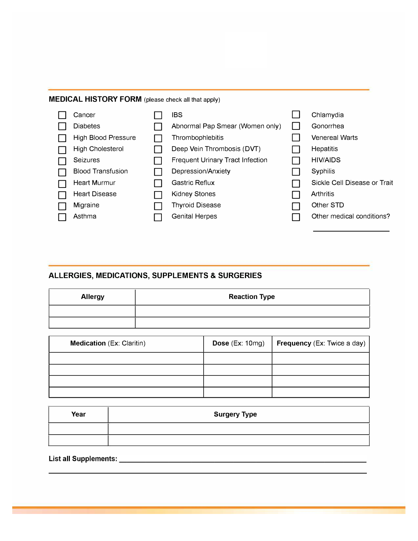#### MEDICAL HISTORY FORM (please check all that apply)



### **ALLERGIES, MEDICATIONS, SUPPLEMENTS & SURGERIES**

| <b>Allergy</b> | <b>Reaction Type</b> |
|----------------|----------------------|
|                |                      |
|                |                      |

| <b>Medication (Ex: Claritin)</b> | Dose $(Ex: 10mg)$ | <b>Frequency (Ex: Twice a day)</b> |
|----------------------------------|-------------------|------------------------------------|
|                                  |                   |                                    |
|                                  |                   |                                    |
|                                  |                   |                                    |
|                                  |                   |                                    |

| Year | <b>Surgery Type</b> |  |  |  |  |
|------|---------------------|--|--|--|--|
|      |                     |  |  |  |  |
|      |                     |  |  |  |  |

List all Supplements: \_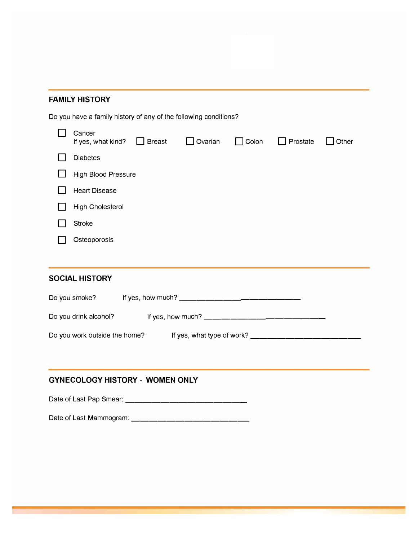### **FAMILY HISTORY**

Do you have a family history of any of the following conditions?

| Cancer<br>$\Box$ Breast<br>If yes, what kind? | $\Box$ Ovarian | $\Box$ Colon | Prostate | Other |
|-----------------------------------------------|----------------|--------------|----------|-------|
| <b>Diabetes</b>                               |                |              |          |       |
| <b>High Blood Pressure</b>                    |                |              |          |       |
| <b>Heart Disease</b>                          |                |              |          |       |
| High Cholesterol                              |                |              |          |       |
| <b>Stroke</b>                                 |                |              |          |       |
| Osteoporosis                                  |                |              |          |       |

## **SOCIAL HISTORY**

| Do you smoke?                 | If yes, how much?          |  |
|-------------------------------|----------------------------|--|
| Do you drink alcohol?         | If yes, how much?          |  |
| Do you work outside the home? | If yes, what type of work? |  |

### **GYNECOLOGY HISTORY - WOMEN ONLY**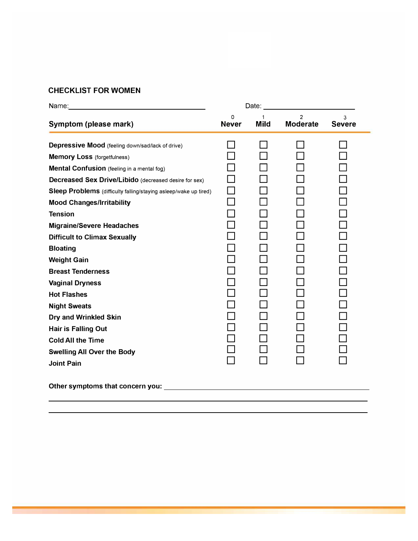# **CHECKLIST FOR WOMEN**

| Name: Name: Name: Name: Name: Name: Name: Name: Name: Name: Name: Name: Name: Name: Name: Name: Name: Name: Name: Name: Name: Name: Name: Name: Name: Name: Name: Name: Name: Name: Name: Name: Name: Name: Name: Name: Name: | Date: and the state of the state of the state of the state of the state of the state of the state of the state of the state of the state of the state of the state of the state of the state of the state of the state of the |                  |                                   |                    |
|-------------------------------------------------------------------------------------------------------------------------------------------------------------------------------------------------------------------------------|-------------------------------------------------------------------------------------------------------------------------------------------------------------------------------------------------------------------------------|------------------|-----------------------------------|--------------------|
| Symptom (please mark)                                                                                                                                                                                                         | 0<br><b>Never</b>                                                                                                                                                                                                             | 1<br><b>Mild</b> | $\mathfrak{p}$<br><b>Moderate</b> | 3<br><b>Severe</b> |
| Depressive Mood (feeling down/sad/lack of drive)                                                                                                                                                                              |                                                                                                                                                                                                                               |                  |                                   |                    |
| <b>Memory Loss</b> (forgetfulness)                                                                                                                                                                                            |                                                                                                                                                                                                                               |                  |                                   |                    |
| Mental Confusion (feeling in a mental fog)                                                                                                                                                                                    |                                                                                                                                                                                                                               |                  |                                   |                    |
| Decreased Sex Drive/Libido (decreased desire for sex)                                                                                                                                                                         |                                                                                                                                                                                                                               |                  |                                   |                    |
| Sleep Problems (difficulty falling/staying asleep/wake up tired)                                                                                                                                                              | П                                                                                                                                                                                                                             |                  |                                   |                    |
| <b>Mood Changes/Irritability</b>                                                                                                                                                                                              |                                                                                                                                                                                                                               |                  |                                   |                    |
| <b>Tension</b>                                                                                                                                                                                                                |                                                                                                                                                                                                                               |                  |                                   |                    |
| <b>Migraine/Severe Headaches</b>                                                                                                                                                                                              |                                                                                                                                                                                                                               |                  |                                   |                    |
| <b>Difficult to Climax Sexually</b>                                                                                                                                                                                           |                                                                                                                                                                                                                               |                  |                                   |                    |
| <b>Bloating</b>                                                                                                                                                                                                               |                                                                                                                                                                                                                               |                  |                                   |                    |
| <b>Weight Gain</b>                                                                                                                                                                                                            |                                                                                                                                                                                                                               |                  |                                   |                    |
| <b>Breast Tenderness</b>                                                                                                                                                                                                      |                                                                                                                                                                                                                               |                  |                                   |                    |
| <b>Vaginal Dryness</b>                                                                                                                                                                                                        |                                                                                                                                                                                                                               |                  |                                   |                    |
| <b>Hot Flashes</b>                                                                                                                                                                                                            |                                                                                                                                                                                                                               |                  |                                   |                    |
| <b>Night Sweats</b>                                                                                                                                                                                                           |                                                                                                                                                                                                                               |                  |                                   |                    |
| Dry and Wrinkled Skin                                                                                                                                                                                                         |                                                                                                                                                                                                                               |                  |                                   |                    |
| <b>Hair is Falling Out</b>                                                                                                                                                                                                    |                                                                                                                                                                                                                               |                  |                                   |                    |
| <b>Cold All the Time</b>                                                                                                                                                                                                      |                                                                                                                                                                                                                               |                  |                                   |                    |
| <b>Swelling All Over the Body</b>                                                                                                                                                                                             |                                                                                                                                                                                                                               |                  |                                   |                    |
| <b>Joint Pain</b>                                                                                                                                                                                                             |                                                                                                                                                                                                                               |                  |                                   |                    |
|                                                                                                                                                                                                                               |                                                                                                                                                                                                                               |                  |                                   |                    |
|                                                                                                                                                                                                                               |                                                                                                                                                                                                                               |                  |                                   |                    |